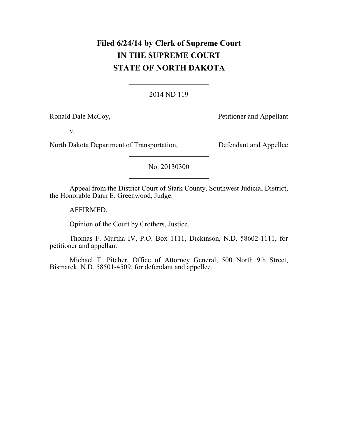# **Filed 6/24/14 by Clerk of Supreme Court IN THE SUPREME COURT STATE OF NORTH DAKOTA**

#### 2014 ND 119

Ronald Dale McCoy,  $Petitioner and Appellant$ 

v.

North Dakota Department of Transportation, Defendant and Appellee

No. 20130300

Appeal from the District Court of Stark County, Southwest Judicial District, the Honorable Dann E. Greenwood, Judge.

AFFIRMED.

Opinion of the Court by Crothers, Justice.

Thomas F. Murtha IV, P.O. Box 1111, Dickinson, N.D. 58602-1111, for petitioner and appellant.

Michael T. Pitcher, Office of Attorney General, 500 North 9th Street, Bismarck, N.D. 58501-4509, for defendant and appellee.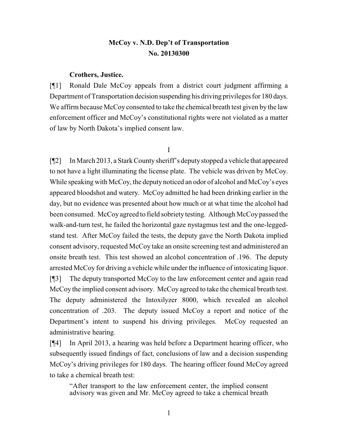## **McCoy v. N.D. Dep't of Transportation No. 20130300**

#### **Crothers, Justice.**

[¶1] Ronald Dale McCoy appeals from a district court judgment affirming a Department of Transportation decision suspending his driving privileges for 180 days. We affirm because McCoy consented to take the chemical breath test given by the law enforcement officer and McCoy's constitutional rights were not violated as a matter of law by North Dakota's implied consent law.

I

[¶2] In March 2013, a Stark County sheriff's deputystopped a vehicle that appeared to not have a light illuminating the license plate. The vehicle was driven by McCoy. While speaking with McCoy, the deputy noticed an odor of alcohol and McCoy's eyes appeared bloodshot and watery. McCoy admitted he had been drinking earlier in the day, but no evidence was presented about how much or at what time the alcohol had been consumed. McCoy agreed to field sobriety testing. Although McCoy passed the walk-and-turn test, he failed the horizontal gaze nystagmus test and the one-leggedstand test. After McCoy failed the tests, the deputy gave the North Dakota implied consent advisory, requested McCoy take an onsite screening test and administered an onsite breath test. This test showed an alcohol concentration of .196. The deputy arrested McCoy for driving a vehicle while under the influence of intoxicating liquor. [¶3] The deputy transported McCoy to the law enforcement center and again read McCoy the implied consent advisory. McCoy agreed to take the chemical breath test. The deputy administered the Intoxilyzer 8000, which revealed an alcohol concentration of .203. The deputy issued McCoy a report and notice of the Department's intent to suspend his driving privileges. McCoy requested an administrative hearing.

[¶4] In April 2013, a hearing was held before a Department hearing officer, who subsequently issued findings of fact, conclusions of law and a decision suspending McCoy's driving privileges for 180 days. The hearing officer found McCoy agreed to take a chemical breath test:

"After transport to the law enforcement center, the implied consent advisory was given and Mr. McCoy agreed to take a chemical breath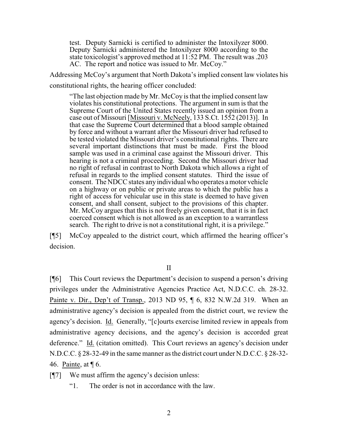test. Deputy Sarnicki is certified to administer the Intoxilyzer 8000. Deputy Sarnicki administered the Intoxilyzer 8000 according to the state toxicologist's approved method at 11:52 PM. The result was .203 AC. The report and notice was issued to Mr. McCoy."

Addressing McCoy's argument that North Dakota's implied consent law violates his constitutional rights, the hearing officer concluded:

"The last objection made by Mr. McCoy is that the implied consent law violates his constitutional protections. The argument in sum is that the Supreme Court of the United States recently issued an opinion from a case out of Missouri [Missouri v. McNeely, 133 S.Ct. 1552 (2013)]. In that case the Supreme Court determined that a blood sample obtained by force and without a warrant after the Missouri driver had refused to be tested violated the Missouri driver's constitutional rights. There are several important distinctions that must be made. First the blood sample was used in a criminal case against the Missouri driver. This hearing is not a criminal proceeding. Second the Missouri driver had no right of refusal in contrast to North Dakota which allows a right of refusal in regards to the implied consent statutes. Third the issue of consent. The NDCC states any individual who operates a motor vehicle on a highway or on public or private areas to which the public has a right of access for vehicular use in this state is deemed to have given consent, and shall consent, subject to the provisions of this chapter. Mr. McCoy argues that this is not freely given consent, that it is in fact coerced consent which is not allowed as an exception to a warrantless search. The right to drive is not a constitutional right, it is a privilege."

[¶5] McCoy appealed to the district court, which affirmed the hearing officer's decision.

II

[¶6] This Court reviews the Department's decision to suspend a person's driving privileges under the Administrative Agencies Practice Act, N.D.C.C. ch. 28-32. Painte v. Dir., Dep't of Transp., 2013 ND 95, ¶ 6, 832 N.W.2d 319. When an administrative agency's decision is appealed from the district court, we review the agency's decision. Id. Generally, "[c]ourts exercise limited review in appeals from administrative agency decisions, and the agency's decision is accorded great deference." Id. (citation omitted). This Court reviews an agency's decision under N.D.C.C. § 28-32-49 in the same manner as the district court under N.D.C.C. § 28-32- 46. Painte, at ¶ 6.

[¶7] We must affirm the agency's decision unless:

"1. The order is not in accordance with the law.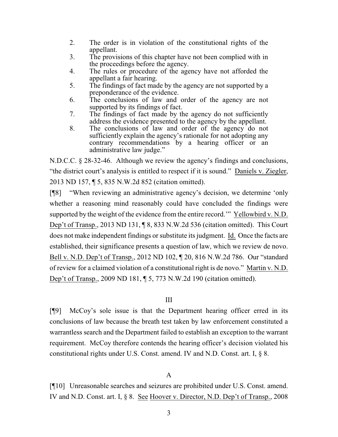- 2. The order is in violation of the constitutional rights of the appellant.
- 3. The provisions of this chapter have not been complied with in the proceedings before the agency.
- 4. The rules or procedure of the agency have not afforded the appellant a fair hearing.
- 5. The findings of fact made by the agency are not supported by a preponderance of the evidence.
- 6. The conclusions of law and order of the agency are not supported by its findings of fact.
- 7. The findings of fact made by the agency do not sufficiently address the evidence presented to the agency by the appellant.
- 8. The conclusions of law and order of the agency do not sufficiently explain the agency's rationale for not adopting any contrary recommendations by a hearing officer or an administrative law judge."

N.D.C.C. § 28-32-46. Although we review the agency's findings and conclusions, "the district court's analysis is entitled to respect if it is sound." Daniels v. Ziegler, 2013 ND 157, ¶ 5, 835 N.W.2d 852 (citation omitted).

[¶8] "When reviewing an administrative agency's decision, we determine 'only whether a reasoning mind reasonably could have concluded the findings were supported by the weight of the evidence from the entire record.'" Yellowbird v. N.D. Dep't of Transp., 2013 ND 131, ¶ 8, 833 N.W.2d 536 (citation omitted). This Court does not make independent findings or substitute its judgment. Id. Once the facts are established, their significance presents a question of law, which we review de novo. Bell v. N.D. Dep't of Transp., 2012 ND 102, ¶ 20, 816 N.W.2d 786. Our "standard of review for a claimed violation of a constitutional right is de novo." Martin v. N.D. Dep't of Transp., 2009 ND 181, ¶ 5, 773 N.W.2d 190 (citation omitted).

## III

[¶9] McCoy's sole issue is that the Department hearing officer erred in its conclusions of law because the breath test taken by law enforcement constituted a warrantless search and the Department failed to establish an exception to the warrant requirement. McCoy therefore contends the hearing officer's decision violated his constitutional rights under U.S. Const. amend. IV and N.D. Const. art. I, § 8.

## A

[¶10] Unreasonable searches and seizures are prohibited under U.S. Const. amend. IV and N.D. Const. art. I, § 8. See Hoover v. Director, N.D. Dep't of Transp., 2008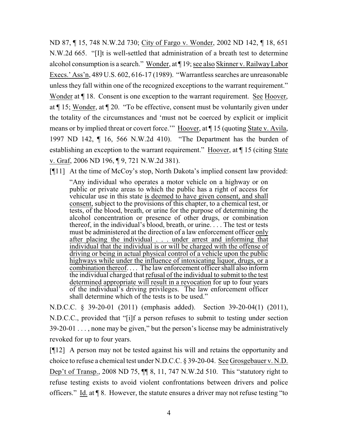ND 87, ¶ 15, 748 N.W.2d 730; City of Fargo v. Wonder, 2002 ND 142, ¶ 18, 651 N.W.2d 665. "[I]t is well-settled that administration of a breath test to determine alcohol consumption is a search." Wonder, at ¶ 19; see also Skinner v. RailwayLabor Execs.' Ass'n, 489 U.S. 602, 616-17 (1989). "Warrantless searches are unreasonable unless they fall within one of the recognized exceptions to the warrant requirement." Wonder at  $\P$  18. Consent is one exception to the warrant requirement. See Hoover, at ¶ 15; Wonder, at ¶ 20. "To be effective, consent must be voluntarily given under the totality of the circumstances and 'must not be coerced by explicit or implicit means or by implied threat or covert force.'" Hoover, at ¶ 15 (quoting State v. Avila, 1997 ND 142, ¶ 16, 566 N.W.2d 410). "The Department has the burden of establishing an exception to the warrant requirement." Hoover, at ¶ 15 (citing State v. Graf, 2006 ND 196, ¶ 9, 721 N.W.2d 381).

[¶11] At the time of McCoy's stop, North Dakota's implied consent law provided:

"Any individual who operates a motor vehicle on a highway or on public or private areas to which the public has a right of access for vehicular use in this state is deemed to have given consent, and shall consent, subject to the provisions of this chapter, to a chemical test, or tests, of the blood, breath, or urine for the purpose of determining the alcohol concentration or presence of other drugs, or combination thereof, in the individual's blood, breath, or urine.  $\ldots$  The test or tests must be administered at the direction of a law enforcement officer only after placing the individual . . . under arrest and informing that individual that the individual is or will be charged with the offense of driving or being in actual physical control of a vehicle upon the public highways while under the influence of intoxicating liquor, drugs, or a combination thereof.... The law enforcement officer shall also inform the individual charged that refusal of the individual to submit to the test determined appropriate will result in a revocation for up to four years of the individual's driving privileges. The law enforcement officer shall determine which of the tests is to be used."

N.D.C.C. § 39-20-01 (2011) (emphasis added). Section 39-20-04(1) (2011), N.D.C.C., provided that "[i]f a person refuses to submit to testing under section 39-20-01 . . . , none may be given," but the person's license may be administratively revoked for up to four years.

[¶12] A person may not be tested against his will and retains the opportunity and choice to refuse a chemical test under N.D.C.C. § 39-20-04. See Grosgebauer v. N.D. Dep't of Transp., 2008 ND 75, ¶¶ 8, 11, 747 N.W.2d 510. This "statutory right to refuse testing exists to avoid violent confrontations between drivers and police officers." Id. at ¶ 8. However, the statute ensures a driver may not refuse testing "to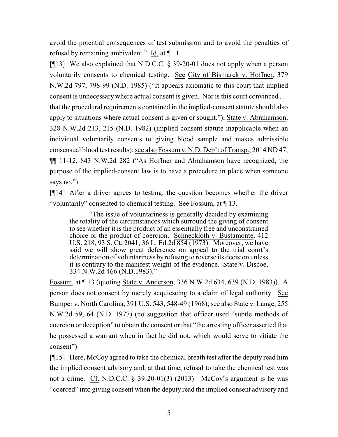avoid the potential consequences of test submission and to avoid the penalties of refusal by remaining ambivalent." Id. at ¶ 11.

[¶13] We also explained that N.D.C.C. § 39-20-01 does not apply when a person voluntarily consents to chemical testing. See City of Bismarck v. Hoffner, 379 N.W.2d 797, 798-99 (N.D. 1985) ("It appears axiomatic to this court that implied consent is unnecessary where actual consent is given. Nor is this court convinced . . . that the procedural requirements contained in the implied-consent statute should also apply to situations where actual consent is given or sought."); State v. Abrahamson, 328 N.W.2d 213, 215 (N.D. 1982) (implied consent statute inapplicable when an individual voluntarily consents to giving blood sample and makes admissible consensual blood test results); see also Fossum v. N.D. Dep't of Transp., 2014 ND 47, ¶¶ 11-12, 843 N.W.2d 282 ("As Hoffner and Abrahamson have recognized, the purpose of the implied-consent law is to have a procedure in place when someone says no.").

[¶14] After a driver agrees to testing, the question becomes whether the driver "voluntarily" consented to chemical testing. See Fossum, at ¶ 13.

"The issue of voluntariness is generally decided by examining the totality of the circumstances which surround the giving of consent to see whether it is the product of an essentially free and unconstrained choice or the product of coercion. Schneckloth v. Bustamonte, 412 U.S. 218, 93 S. Ct. 2041, 36 L. Ed.2d 854 (1973). Moreover, we have said we will show great deference on appeal to the trial court's determination of voluntariness byrefusing to reverse its decision unless it is contrary to the manifest weight of the evidence. State v. Discoe, 334 N.W.2d 466 (N.D.1983)."

Fossum, at ¶ 13 (quoting State v. Anderson, 336 N.W.2d 634, 639 (N.D. 1983)). A person does not consent by merely acquiescing to a claim of legal authority. See Bumper v. North Carolina, 391 U.S. 543, 548-49 (1968); see also State v. Lange, 255 N.W.2d 59, 64 (N.D. 1977) (no suggestion that officer used "subtle methods of coercion or deception" to obtain the consent or that "the arresting officer asserted that he possessed a warrant when in fact he did not, which would serve to vitiate the consent").

[¶15] Here, McCoy agreed to take the chemical breath test after the deputy read him the implied consent advisory and, at that time, refusal to take the chemical test was not a crime. Cf. N.D.C.C.  $\S$  39-20-01(3) (2013). McCoy's argument is he was "coerced" into giving consent when the deputy read the implied consent advisory and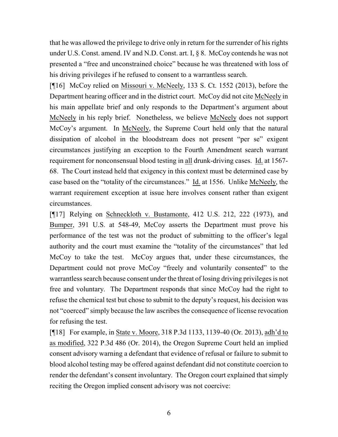that he was allowed the privilege to drive only in return for the surrender of his rights under U.S. Const. amend. IV and N.D. Const. art. I, § 8. McCoy contends he was not presented a "free and unconstrained choice" because he was threatened with loss of his driving privileges if he refused to consent to a warrantless search.

[¶16] McCoy relied on Missouri v. McNeely, 133 S. Ct. 1552 (2013), before the Department hearing officer and in the district court. McCoy did not cite McNeely in his main appellate brief and only responds to the Department's argument about McNeely in his reply brief. Nonetheless, we believe McNeely does not support McCoy's argument. In McNeely, the Supreme Court held only that the natural dissipation of alcohol in the bloodstream does not present "per se" exigent circumstances justifying an exception to the Fourth Amendment search warrant requirement for nonconsensual blood testing in all drunk-driving cases. Id. at 1567- 68. The Court instead held that exigency in this context must be determined case by case based on the "totality of the circumstances." Id. at 1556. Unlike McNeely, the warrant requirement exception at issue here involves consent rather than exigent circumstances.

[¶17] Relying on Schneckloth v. Bustamonte, 412 U.S. 212, 222 (1973), and Bumper, 391 U.S. at 548-49, McCoy asserts the Department must prove his performance of the test was not the product of submitting to the officer's legal authority and the court must examine the "totality of the circumstances" that led McCoy to take the test. McCoy argues that, under these circumstances, the Department could not prove McCoy "freely and voluntarily consented" to the warrantless search because consent under the threat of losing driving privileges is not free and voluntary. The Department responds that since McCoy had the right to refuse the chemical test but chose to submit to the deputy's request, his decision was not "coerced" simply because the law ascribes the consequence of license revocation for refusing the test.

[¶18] For example, in State v. Moore, 318 P.3d 1133, 1139-40 (Or. 2013), adh'd to as modified, 322 P.3d 486 (Or. 2014), the Oregon Supreme Court held an implied consent advisory warning a defendant that evidence of refusal or failure to submit to blood alcohol testing may be offered against defendant did not constitute coercion to render the defendant's consent involuntary. The Oregon court explained that simply reciting the Oregon implied consent advisory was not coercive: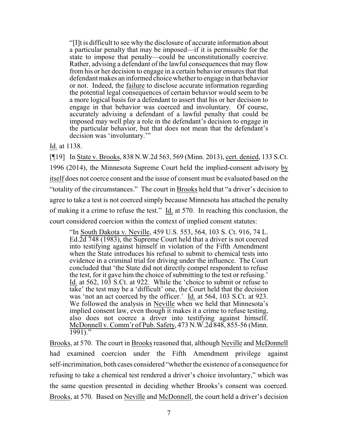"[I]t is difficult to see why the disclosure of accurate information about a particular penalty that may be imposed—if it is permissible for the state to impose that penalty—could be unconstitutionally coercive. Rather, advising a defendant of the lawful consequences that may flow from his or her decision to engage in a certain behavior ensures that that defendant makes an informed choice whether to engage in that behavior or not. Indeed, the failure to disclose accurate information regarding the potential legal consequences of certain behavior would seem to be a more logical basis for a defendant to assert that his or her decision to engage in that behavior was coerced and involuntary. Of course, accurately advising a defendant of a lawful penalty that could be imposed may well play a role in the defendant's decision to engage in the particular behavior, but that does not mean that the defendant's decision was 'involuntary.""

Id. at 1138.

[¶19] In State v. Brooks, 838 N.W.2d 563, 569 (Minn. 2013), cert. denied, 133 S.Ct. 1996 (2014), the Minnesota Supreme Court held the implied-consent advisory by itself does not coerce consent and the issue of consent must be evaluated based on the "totality of the circumstances." The court in Brooks held that "a driver's decision to agree to take a test is not coerced simply because Minnesota has attached the penalty of making it a crime to refuse the test." Id. at 570. In reaching this conclusion, the court considered coercion within the context of implied consent statutes:

"In South Dakota v. Neville, 459 U.S. 553, 564, 103 S. Ct. 916, 74 L. Ed.2d 748 (1983), the Supreme Court held that a driver is not coerced into testifying against himself in violation of the Fifth Amendment when the State introduces his refusal to submit to chemical tests into evidence in a criminal trial for driving under the influence. The Court concluded that 'the State did not directly compel respondent to refuse the test, for it gave him the choice of submitting to the test or refusing.' Id. at 562, 103 S.Ct. at 922. While the 'choice to submit or refuse to take' the test may be a 'difficult' one, the Court held that the decision was 'not an act coerced by the officer.' Id. at 564, 103 S.Ct. at 923. We followed the analysis in Neville when we held that Minnesota's implied consent law, even though it makes it a crime to refuse testing, also does not coerce a driver into testifying against himself. McDonnell v. Comm'r of Pub. Safety, 473 N.W.2d 848, 855-56 (Minn.  $1991$ ."

Brooks, at 570. The court in Brooks reasoned that, although Neville and McDonnell had examined coercion under the Fifth Amendment privilege against self-incrimination, both cases considered "whether the existence of a consequence for refusing to take a chemical test rendered a driver's choice involuntary," which was the same question presented in deciding whether Brooks's consent was coerced. Brooks, at 570. Based on Neville and McDonnell, the court held a driver's decision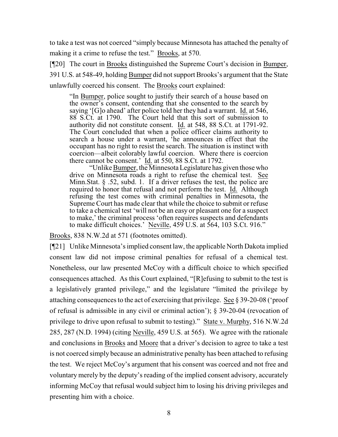to take a test was not coerced "simply because Minnesota has attached the penalty of making it a crime to refuse the test." Brooks, at 570.

[¶20] The court in Brooks distinguished the Supreme Court's decision in Bumper, 391 U.S. at 548-49, holding Bumper did not support Brooks's argument that the State unlawfully coerced his consent. The Brooks court explained:

"In Bumper, police sought to justify their search of a house based on the owner's consent, contending that she consented to the search by saying '[G]o ahead' after police told her they had a warrant. Id. at 546, 88 S.Ct. at 1790. The Court held that this sort of submission to authority did not constitute consent. Id. at 548, 88 S.Ct. at 1791-92. The Court concluded that when a police officer claims authority to search a house under a warrant, 'he announces in effect that the occupant has no right to resist the search. The situation is instinct with coercion—albeit colorably lawful coercion. Where there is coercion there cannot be consent.' Id. at 550, 88 S.Ct. at 1792.

"Unlike Bumper, the Minnesota Legislature has given those who drive on Minnesota roads a right to refuse the chemical test. See Minn. Stat.  $\S$  .52, subd. 1. If a driver refuses the test, the police are required to honor that refusal and not perform the test. Id. Although refusing the test comes with criminal penalties in Minnesota, the Supreme Court has made clear that while the choice to submit or refuse to take a chemical test 'will not be an easy or pleasant one for a suspect to make,' the criminal process 'often requires suspects and defendants to make difficult choices.' Neville, 459 U.S. at 564, 103 S.Ct. 916."

Brooks, 838 N.W.2d at 571 (footnotes omitted).

[¶21] Unlike Minnesota's implied consent law, the applicable North Dakota implied consent law did not impose criminal penalties for refusal of a chemical test. Nonetheless, our law presented McCoy with a difficult choice to which specified consequences attached. As this Court explained, "[R]efusing to submit to the test is a legislatively granted privilege," and the legislature "limited the privilege by attaching consequences to the act of exercising that privilege. See § 39-20-08 ('proof of refusal is admissible in any civil or criminal action'); § 39-20-04 (revocation of privilege to drive upon refusal to submit to testing)." State v. Murphy, 516 N.W.2d 285, 287 (N.D. 1994) (citing Neville, 459 U.S. at 565). We agree with the rationale and conclusions in Brooks and Moore that a driver's decision to agree to take a test is not coerced simply because an administrative penalty has been attached to refusing the test. We reject McCoy's argument that his consent was coerced and not free and voluntary merely by the deputy's reading of the implied consent advisory, accurately informing McCoy that refusal would subject him to losing his driving privileges and presenting him with a choice.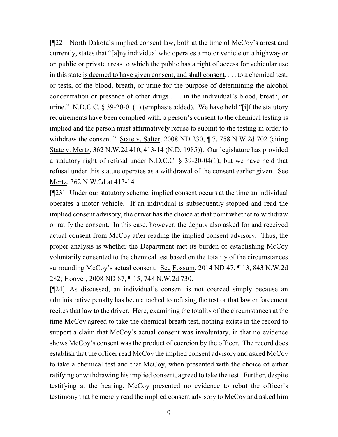[¶22] North Dakota's implied consent law, both at the time of McCoy's arrest and currently, states that "[a]ny individual who operates a motor vehicle on a highway or on public or private areas to which the public has a right of access for vehicular use in this state is deemed to have given consent, and shall consent, . . . to a chemical test, or tests, of the blood, breath, or urine for the purpose of determining the alcohol concentration or presence of other drugs . . . in the individual's blood, breath, or urine." N.D.C.C. § 39-20-01(1) (emphasis added). We have held "[i]f the statutory requirements have been complied with, a person's consent to the chemical testing is implied and the person must affirmatively refuse to submit to the testing in order to withdraw the consent." State v. Salter, 2008 ND 230,  $\P$  7, 758 N.W.2d 702 (citing State v. Mertz, 362 N.W.2d 410, 413-14 (N.D. 1985)). Our legislature has provided a statutory right of refusal under N.D.C.C. § 39-20-04(1), but we have held that refusal under this statute operates as a withdrawal of the consent earlier given. See Mertz, 362 N.W.2d at 413-14.

[¶23] Under our statutory scheme, implied consent occurs at the time an individual operates a motor vehicle. If an individual is subsequently stopped and read the implied consent advisory, the driver has the choice at that point whether to withdraw or ratify the consent. In this case, however, the deputy also asked for and received actual consent from McCoy after reading the implied consent advisory. Thus, the proper analysis is whether the Department met its burden of establishing McCoy voluntarily consented to the chemical test based on the totality of the circumstances surrounding McCoy's actual consent. See Fossum, 2014 ND 47, ¶ 13, 843 N.W.2d 282; Hoover, 2008 ND 87, ¶ 15, 748 N.W.2d 730.

[¶24] As discussed, an individual's consent is not coerced simply because an administrative penalty has been attached to refusing the test or that law enforcement recites that law to the driver. Here, examining the totality of the circumstances at the time McCoy agreed to take the chemical breath test, nothing exists in the record to support a claim that McCoy's actual consent was involuntary, in that no evidence shows McCoy's consent was the product of coercion by the officer. The record does establish that the officer read McCoy the implied consent advisory and asked McCoy to take a chemical test and that McCoy, when presented with the choice of either ratifying or withdrawing his implied consent, agreed to take the test. Further, despite testifying at the hearing, McCoy presented no evidence to rebut the officer's testimony that he merely read the implied consent advisory to McCoy and asked him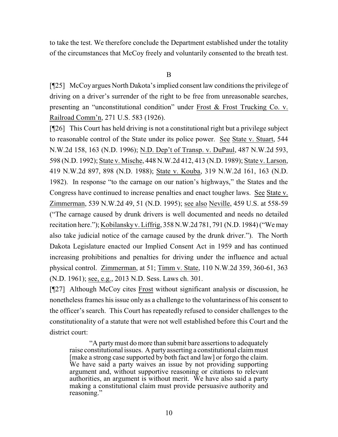to take the test. We therefore conclude the Department established under the totality of the circumstances that McCoy freely and voluntarily consented to the breath test.

B

[¶25] McCoy argues North Dakota's implied consent law conditions the privilege of driving on a driver's surrender of the right to be free from unreasonable searches, presenting an "unconstitutional condition" under Frost & Frost Trucking Co. v. Railroad Comm'n, 271 U.S. 583 (1926).

[¶26] This Court has held driving is not a constitutional right but a privilege subject to reasonable control of the State under its police power. See State v. Stuart, 544 N.W.2d 158, 163 (N.D. 1996); N.D. Dep't of Transp. v. DuPaul, 487 N.W.2d 593, 598 (N.D. 1992); State v. Mische, 448 N.W.2d 412, 413 (N.D. 1989); State v. Larson, 419 N.W.2d 897, 898 (N.D. 1988); State v. Kouba, 319 N.W.2d 161, 163 (N.D. 1982). In response "to the carnage on our nation's highways," the States and the Congress have continued to increase penalties and enact tougher laws. See State v. Zimmerman, 539 N.W.2d 49, 51 (N.D. 1995); see also Neville, 459 U.S. at 558-59 ("The carnage caused by drunk drivers is well documented and needs no detailed recitation here."); Kobilansky v. Liffrig, 358 N.W.2d 781, 791 (N.D. 1984) ("We may also take judicial notice of the carnage caused by the drunk driver."). The North Dakota Legislature enacted our Implied Consent Act in 1959 and has continued increasing prohibitions and penalties for driving under the influence and actual physical control. Zimmerman, at 51; Timm v. State, 110 N.W.2d 359, 360-61, 363 (N.D. 1961); see, e.g., 2013 N.D. Sess. Laws ch. 301.

[¶27] Although McCoy cites Frost without significant analysis or discussion, he nonetheless frames his issue only as a challenge to the voluntariness of his consent to the officer's search. This Court has repeatedly refused to consider challenges to the constitutionality of a statute that were not well established before this Court and the district court:

"A partymust do more than submit bare assertions to adequately raise constitutional issues. A party asserting a constitutional claim must [make a strong case supported by both fact and law] or forgo the claim. We have said a party waives an issue by not providing supporting argument and, without supportive reasoning or citations to relevant authorities, an argument is without merit. We have also said a party making a constitutional claim must provide persuasive authority and reasoning."